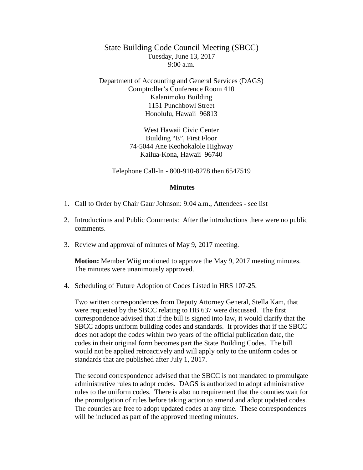State Building Code Council Meeting (SBCC) Tuesday, June 13, 2017 9:00 a.m.

Department of Accounting and General Services (DAGS) Comptroller's Conference Room 410 Kalanimoku Building 1151 Punchbowl Street Honolulu, Hawaii 96813

> West Hawaii Civic Center Building "E", First Floor 74-5044 Ane Keohokalole Highway Kailua-Kona, Hawaii 96740

Telephone Call-In - 800-910-8278 then 6547519

## **Minutes**

- 1. Call to Order by Chair Gaur Johnson: 9:04 a.m., Attendees see list
- 2. Introductions and Public Comments: After the introductions there were no public comments.
- 3. Review and approval of minutes of May 9, 2017 meeting.

**Motion:** Member Wiig motioned to approve the May 9, 2017 meeting minutes. The minutes were unanimously approved.

4. Scheduling of Future Adoption of Codes Listed in HRS 107-25.

Two written correspondences from Deputy Attorney General, Stella Kam, that were requested by the SBCC relating to HB 637 were discussed. The first correspondence advised that if the bill is signed into law, it would clarify that the SBCC adopts uniform building codes and standards. It provides that if the SBCC does not adopt the codes within two years of the official publication date, the codes in their original form becomes part the State Building Codes. The bill would not be applied retroactively and will apply only to the uniform codes or standards that are published after July 1, 2017.

The second correspondence advised that the SBCC is not mandated to promulgate administrative rules to adopt codes. DAGS is authorized to adopt administrative rules to the uniform codes. There is also no requirement that the counties wait for the promulgation of rules before taking action to amend and adopt updated codes. The counties are free to adopt updated codes at any time. These correspondences will be included as part of the approved meeting minutes.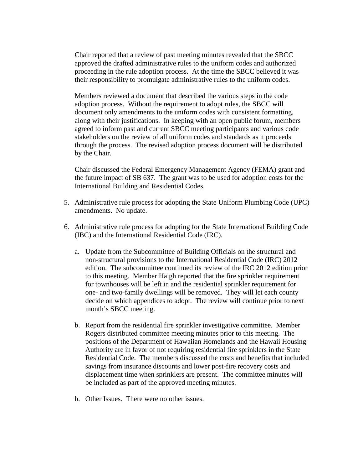Chair reported that a review of past meeting minutes revealed that the SBCC approved the drafted administrative rules to the uniform codes and authorized proceeding in the rule adoption process. At the time the SBCC believed it was their responsibility to promulgate administrative rules to the uniform codes.

Members reviewed a document that described the various steps in the code adoption process. Without the requirement to adopt rules, the SBCC will document only amendments to the uniform codes with consistent formatting, along with their justifications. In keeping with an open public forum, members agreed to inform past and current SBCC meeting participants and various code stakeholders on the review of all uniform codes and standards as it proceeds through the process. The revised adoption process document will be distributed by the Chair.

Chair discussed the Federal Emergency Management Agency (FEMA) grant and the future impact of SB 637. The grant was to be used for adoption costs for the International Building and Residential Codes.

- 5. Administrative rule process for adopting the State Uniform Plumbing Code (UPC) amendments. No update.
- 6. Administrative rule process for adopting for the State International Building Code (IBC) and the International Residential Code (IRC).
	- a. Update from the Subcommittee of Building Officials on the structural and non-structural provisions to the International Residential Code (IRC) 2012 edition. The subcommittee continued its review of the IRC 2012 edition prior to this meeting. Member Haigh reported that the fire sprinkler requirement for townhouses will be left in and the residential sprinkler requirement for one- and two-family dwellings will be removed. They will let each county decide on which appendices to adopt. The review will continue prior to next month's SBCC meeting.
	- b. Report from the residential fire sprinkler investigative committee. Member Rogers distributed committee meeting minutes prior to this meeting. The positions of the Department of Hawaiian Homelands and the Hawaii Housing Authority are in favor of not requiring residential fire sprinklers in the State Residential Code. The members discussed the costs and benefits that included savings from insurance discounts and lower post-fire recovery costs and displacement time when sprinklers are present. The committee minutes will be included as part of the approved meeting minutes.
	- b. Other Issues. There were no other issues.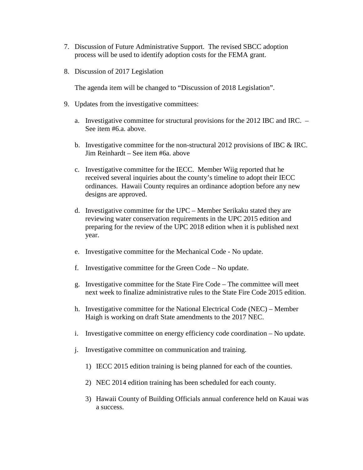- 7. Discussion of Future Administrative Support. The revised SBCC adoption process will be used to identify adoption costs for the FEMA grant.
- 8. Discussion of 2017 Legislation

The agenda item will be changed to "Discussion of 2018 Legislation".

- 9. Updates from the investigative committees:
	- a. Investigative committee for structural provisions for the 2012 IBC and IRC. See item #6.a. above.
	- b. Investigative committee for the non-structural 2012 provisions of IBC & IRC. Jim Reinhardt – See item #6a. above
	- c. Investigative committee for the IECC. Member Wiig reported that he received several inquiries about the county's timeline to adopt their IECC ordinances. Hawaii County requires an ordinance adoption before any new designs are approved.
	- d. Investigative committee for the UPC Member Serikaku stated they are reviewing water conservation requirements in the UPC 2015 edition and preparing for the review of the UPC 2018 edition when it is published next year.
	- e. Investigative committee for the Mechanical Code No update.
	- f. Investigative committee for the Green Code No update.
	- g. Investigative committee for the State Fire Code The committee will meet next week to finalize administrative rules to the State Fire Code 2015 edition.
	- h. Investigative committee for the National Electrical Code (NEC) Member Haigh is working on draft State amendments to the 2017 NEC.
	- i. Investigative committee on energy efficiency code coordination No update.
	- j. Investigative committee on communication and training.
		- 1) IECC 2015 edition training is being planned for each of the counties.
		- 2) NEC 2014 edition training has been scheduled for each county.
		- 3) Hawaii County of Building Officials annual conference held on Kauai was a success.